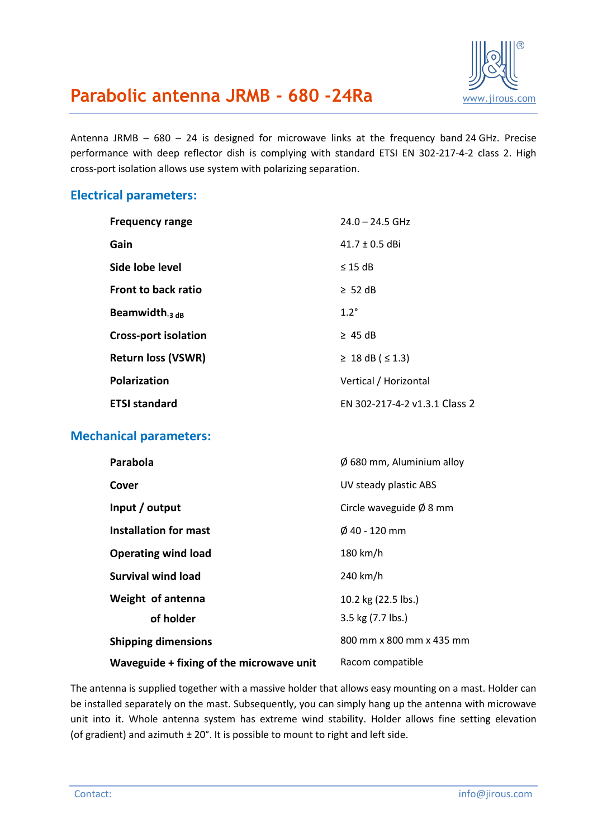

## **Parabolic antenna JRMB - 680 -24Ra** WWW.jirous.com

Antenna JRMB – 680 – 24 is designed for microwave links at the frequency band 24 GHz. Precise performance with deep reflector dish is complying with standard ETSI EN 302-217-4-2 class 2. High cross-port isolation allows use system with polarizing separation.

## **Electrical parameters:**

| <b>Frequency range</b>      | $24.0 - 24.5$ GHz             |
|-----------------------------|-------------------------------|
| Gain                        | $41.7 \pm 0.5$ dBi            |
| Side lobe level             | $\leq$ 15 dB                  |
| Front to back ratio         | $\geq$ 52 dB                  |
| Beamwidth $_3$ dB           | $1.2^\circ$                   |
| <b>Cross-port isolation</b> | $\geq$ 45 dB                  |
| <b>Return loss (VSWR)</b>   | ≥ 18 dB (≤ 1.3)               |
| <b>Polarization</b>         | Vertical / Horizontal         |
| <b>ETSI standard</b>        | EN 302-217-4-2 v1.3.1 Class 2 |

### **Mechanical parameters:**

| Parabola                                 | $\varnothing$ 680 mm, Aluminium alloy |
|------------------------------------------|---------------------------------------|
| Cover                                    | UV steady plastic ABS                 |
| Input / output                           | Circle waveguide $\emptyset$ 8 mm     |
| Installation for mast                    | $\emptyset$ 40 - 120 mm               |
| <b>Operating wind load</b>               | 180 km/h                              |
| Survival wind load                       | 240 km/h                              |
| Weight of antenna                        | 10.2 kg (22.5 lbs.)                   |
| of holder                                | 3.5 kg (7.7 lbs.)                     |
| <b>Shipping dimensions</b>               | 800 mm x 800 mm x 435 mm              |
| Waveguide + fixing of the microwave unit | Racom compatible                      |

The antenna is supplied together with a massive holder that allows easy mounting on a mast. Holder can be installed separately on the mast. Subsequently, you can simply hang up the antenna with microwave unit into it. Whole antenna system has extreme wind stability. Holder allows fine setting elevation (of gradient) and azimuth  $\pm 20^{\circ}$ . It is possible to mount to right and left side.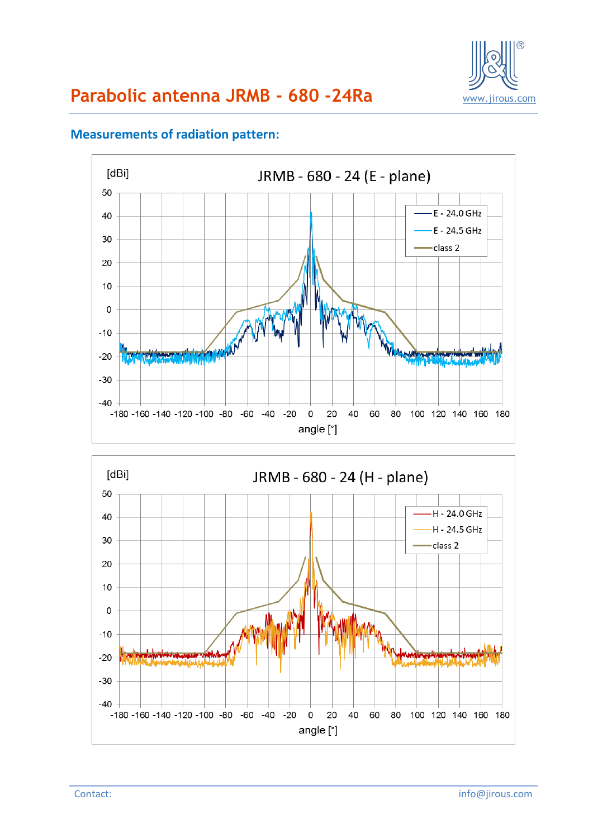

#### $[dBi]$ JRMB - 680 - 24 (E - plane) 50 E - 24.0 GHz 40 E - 24.5 GHz 30 class 2 20  $10$  $\mathsf 0$  $-10$  $-20$ **July 10**  $-30$  $-40$ -180 -160 -140 -120 -100 -80 -60 -40 -20  $\mathsf{O}$ 20 40 60 80 100 120 140 160 180 angle [°]

## **Measurements of radiation pattern:**